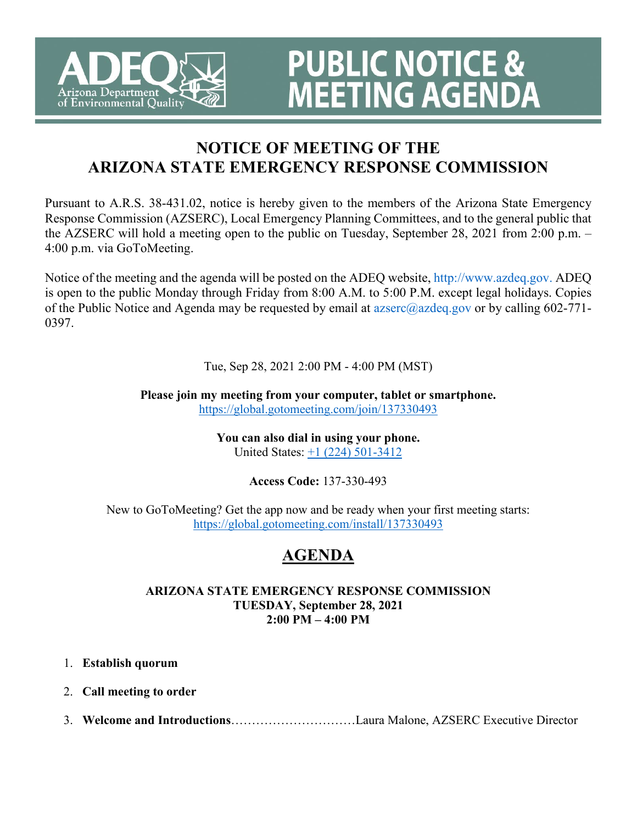

# **PUBLIC NOTICE & MEETING AGENDA**

# **NOTICE OF MEETING OF THE ARIZONA STATE EMERGENCY RESPONSE COMMISSION**

Pursuant to A.R.S. 38-431.02, notice is hereby given to the members of the Arizona State Emergency Response Commission (AZSERC), Local Emergency Planning Committees, and to the general public that the AZSERC will hold a meeting open to the public on Tuesday, September 28, 2021 from 2:00 p.m. – 4:00 p.m. via GoToMeeting.

Notice of the meeting and the agenda will be posted on the ADEQ website, http://www.azdeq.gov. ADEQ is open to the public Monday through Friday from 8:00 A.M. to 5:00 P.M. except legal holidays. Copies of the Public Notice and Agenda may be requested by email at  $a\bar{z}$  azdeq.gov or by calling 602-771-0397.

# Tue, Sep 28, 2021 2:00 PM - 4:00 PM (MST)

**Please join my meeting from your computer, tablet or smartphone.**  <https://global.gotomeeting.com/join/137330493>

> **You can also dial in using your phone.** United States: [+1 \(224\) 501-3412](tel:+12245013412,,137330493)

# **Access Code:** 137-330-493

New to GoToMeeting? Get the app now and be ready when your first meeting starts: <https://global.gotomeeting.com/install/137330493>

# **AGENDA**

## **ARIZONA STATE EMERGENCY RESPONSE COMMISSION TUESDAY, September 28, 2021 2:00 PM – 4:00 PM**

- 1. **Establish quorum**
- 2. **Call meeting to order**
- 3. **Welcome and Introductions**…………………………Laura Malone, AZSERC Executive Director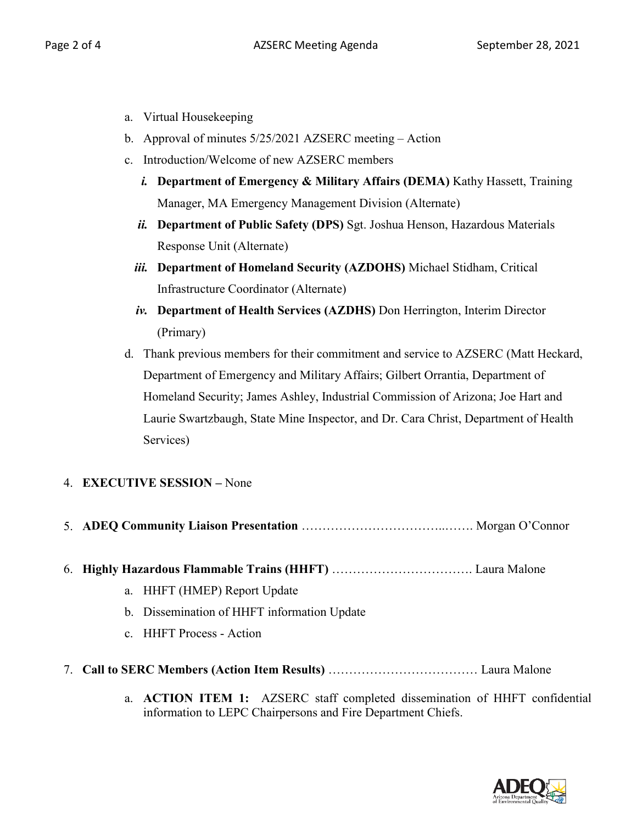- a. Virtual Housekeeping
- b. Approval of minutes 5/25/2021 AZSERC meeting Action
- c. Introduction/Welcome of new AZSERC members
	- *i.* **Department of Emergency & Military Affairs (DEMA)** Kathy Hassett, Training Manager, MA Emergency Management Division (Alternate)
	- *ii.* **Department of Public Safety (DPS)** Sgt. Joshua Henson, Hazardous Materials Response Unit (Alternate)
	- *iii.* **Department of Homeland Security (AZDOHS)** Michael Stidham, Critical Infrastructure Coordinator (Alternate)
	- *iv.* **Department of Health Services (AZDHS)** Don Herrington, Interim Director (Primary)
- d. Thank previous members for their commitment and service to AZSERC (Matt Heckard, Department of Emergency and Military Affairs; Gilbert Orrantia, Department of Homeland Security; James Ashley, Industrial Commission of Arizona; Joe Hart and Laurie Swartzbaugh, State Mine Inspector, and Dr. Cara Christ, Department of Health Services)

# 4. **EXECUTIVE SESSION –** None

- 5. **ADEQ Community Liaison Presentation** ……………………………..……. Morgan O'Connor
- 6. **Highly Hazardous Flammable Trains (HHFT)** ……………………………. Laura Malone
	- a. HHFT (HMEP) Report Update
	- b. Dissemination of HHFT information Update
	- c. HHFT Process Action
- 7. **Call to SERC Members (Action Item Results)** ……………………………… Laura Malone
	- a. **ACTION ITEM 1:** AZSERC staff completed dissemination of HHFT confidential information to LEPC Chairpersons and Fire Department Chiefs.

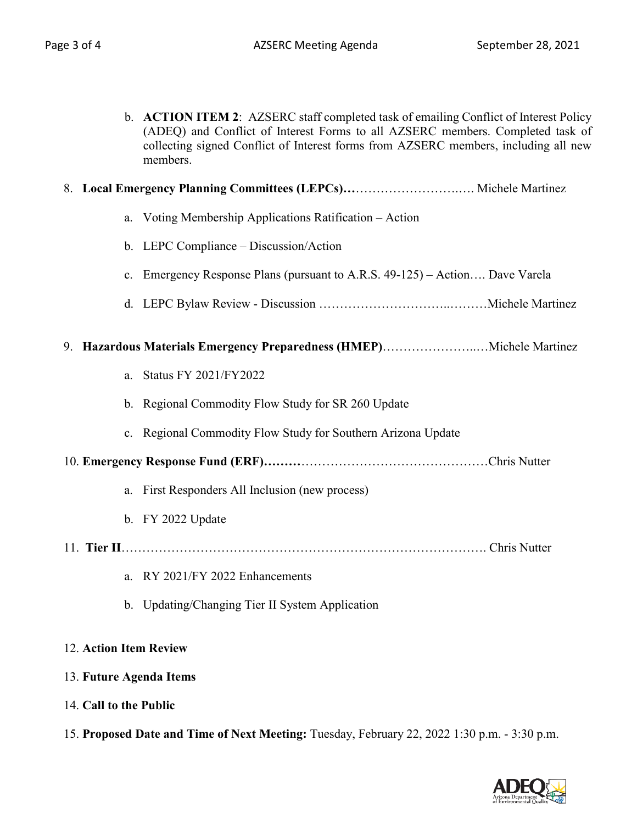b. **ACTION ITEM 2**: AZSERC staff completed task of emailing Conflict of Interest Policy (ADEQ) and Conflict of Interest Forms to all AZSERC members. Completed task of collecting signed Conflict of Interest forms from AZSERC members, including all new members.

## 8. **Local Emergency Planning Committees (LEPCs)…**…………………….…. Michele Martinez

- a. Voting Membership Applications Ratification Action
- b. LEPC Compliance Discussion/Action
- c. Emergency Response Plans (pursuant to A.R.S. 49-125) Action…. Dave Varela
- d. LEPC Bylaw Review Discussion …………………………..………Michele Martinez

#### 9. **Hazardous Materials Emergency Preparedness (HMEP)**…………………..…Michele Martinez

- a. Status FY 2021/FY2022
- b. Regional Commodity Flow Study for SR 260 Update
- c. Regional Commodity Flow Study for Southern Arizona Update
- 10. **Emergency Response Fund (ERF)………**………………………………………Chris Nutter
	- a. First Responders All Inclusion (new process)
	- b. FY 2022 Update
- 11. **Tier II**……………………………………………………………………………. Chris Nutter
	- a. RY 2021/FY 2022 Enhancements
	- b. Updating/Changing Tier II System Application

## 12. **Action Item Review**

## 13. **Future Agenda Items**

- 14. **Call to the Public**
- 15. **Proposed Date and Time of Next Meeting:** Tuesday, February 22, 2022 1:30 p.m. 3:30 p.m.